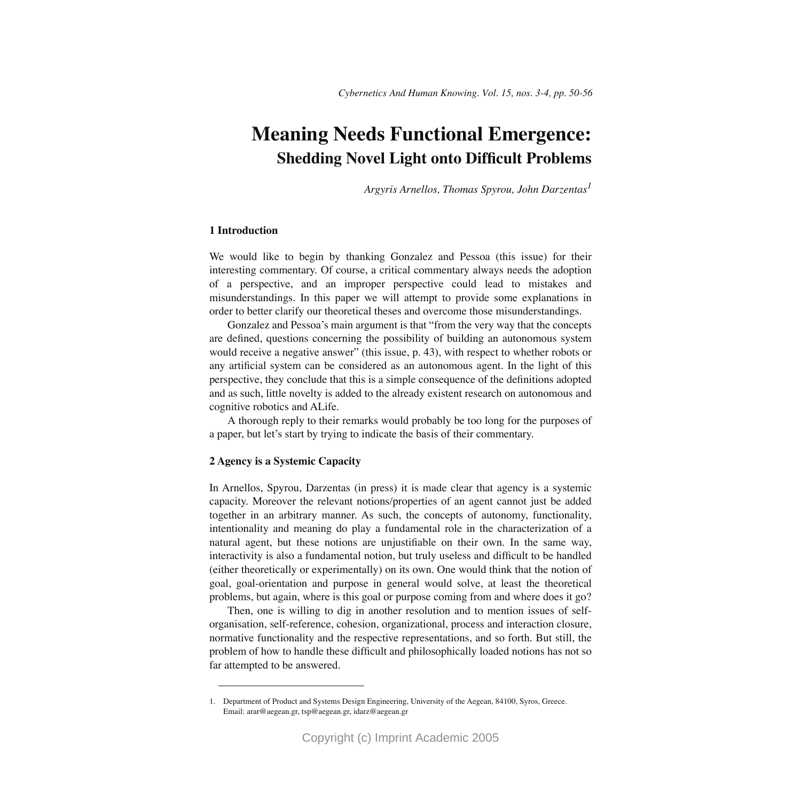# **Meaning Needs Functional Emergence: Shedding Novel Light onto Difficult Problems**

*Argyris Arnellos, Thomas Spyrou, John Darzentas<sup>1</sup>*

# **1 Introduction**

We would like to begin by thanking Gonzalez and Pessoa (this issue) for their interesting commentary. Of course, a critical commentary always needs the adoption of a perspective, and an improper perspective could lead to mistakes and misunderstandings. In this paper we will attempt to provide some explanations in order to better clarify our theoretical theses and overcome those misunderstandings.

Gonzalez and Pessoa's main argument is that "from the very way that the concepts are defined, questions concerning the possibility of building an autonomous system would receive a negative answer" (this issue, p. 43), with respect to whether robots or any artificial system can be considered as an autonomous agent. In the light of this perspective, they conclude that this is a simple consequence of the definitions adopted and as such, little novelty is added to the already existent research on autonomous and cognitive robotics and ALife.

A thorough reply to their remarks would probably be too long for the purposes of a paper, but let's start by trying to indicate the basis of their commentary.

# **2 Agency is a Systemic Capacity**

In Arnellos, Spyrou, Darzentas (in press) it is made clear that agency is a systemic capacity. Moreover the relevant notions/properties of an agent cannot just be added together in an arbitrary manner. As such, the concepts of autonomy, functionality, intentionality and meaning do play a fundamental role in the characterization of a natural agent, but these notions are unjustifiable on their own. In the same way, interactivity is also a fundamental notion, but truly useless and difficult to be handled (either theoretically or experimentally) on its own. One would think that the notion of goal, goal-orientation and purpose in general would solve, at least the theoretical problems, but again, where is this goal or purpose coming from and where does it go?

Then, one is willing to dig in another resolution and to mention issues of selforganisation, self-reference, cohesion, organizational, process and interaction closure, normative functionality and the respective representations, and so forth. But still, the problem of how to handle these difficult and philosophically loaded notions has not so far attempted to be answered.

<sup>1.</sup> Department of Product and Systems Design Engineering, University of the Aegean, 84100, Syros, Greece. Email: arar@aegean.gr, tsp@aegean.gr, idarz@aegean.gr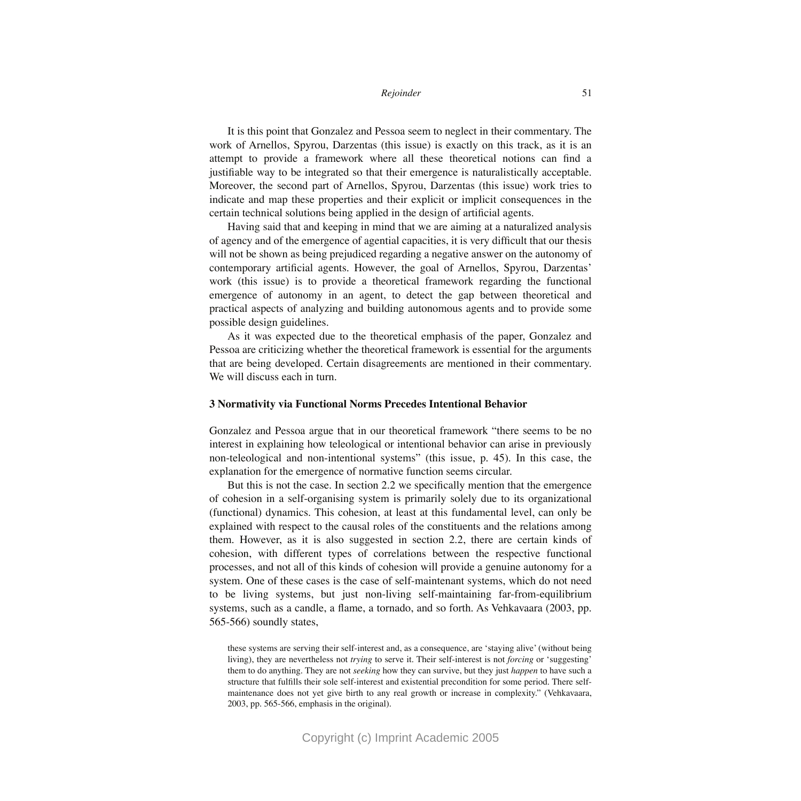### *Rejoinder* 51

It is this point that Gonzalez and Pessoa seem to neglect in their commentary. The work of Arnellos, Spyrou, Darzentas (this issue) is exactly on this track, as it is an attempt to provide a framework where all these theoretical notions can find a justifiable way to be integrated so that their emergence is naturalistically acceptable. Moreover, the second part of Arnellos, Spyrou, Darzentas (this issue) work tries to indicate and map these properties and their explicit or implicit consequences in the certain technical solutions being applied in the design of artificial agents.

Having said that and keeping in mind that we are aiming at a naturalized analysis of agency and of the emergence of agential capacities, it is very difficult that our thesis will not be shown as being prejudiced regarding a negative answer on the autonomy of contemporary artificial agents. However, the goal of Arnellos, Spyrou, Darzentas' work (this issue) is to provide a theoretical framework regarding the functional emergence of autonomy in an agent, to detect the gap between theoretical and practical aspects of analyzing and building autonomous agents and to provide some possible design guidelines.

As it was expected due to the theoretical emphasis of the paper, Gonzalez and Pessoa are criticizing whether the theoretical framework is essential for the arguments that are being developed. Certain disagreements are mentioned in their commentary. We will discuss each in turn.

## **3 Normativity via Functional Norms Precedes Intentional Behavior**

Gonzalez and Pessoa argue that in our theoretical framework "there seems to be no interest in explaining how teleological or intentional behavior can arise in previously non-teleological and non-intentional systems" (this issue, p. 45). In this case, the explanation for the emergence of normative function seems circular.

But this is not the case. In section 2.2 we specifically mention that the emergence of cohesion in a self-organising system is primarily solely due to its organizational (functional) dynamics. This cohesion, at least at this fundamental level, can only be explained with respect to the causal roles of the constituents and the relations among them. However, as it is also suggested in section 2.2, there are certain kinds of cohesion, with different types of correlations between the respective functional processes, and not all of this kinds of cohesion will provide a genuine autonomy for a system. One of these cases is the case of self-maintenant systems, which do not need to be living systems, but just non-living self-maintaining far-from-equilibrium systems, such as a candle, a flame, a tornado, and so forth. As Vehkavaara (2003, pp. 565-566) soundly states,

these systems are serving their self-interest and, as a consequence, are 'staying alive' (without being living), they are nevertheless not *trying* to serve it. Their self-interest is not *forcing* or 'suggesting' them to do anything. They are not *seeking* how they can survive, but they just *happen* to have such a structure that fulfills their sole self-interest and existential precondition for some period. There selfmaintenance does not yet give birth to any real growth or increase in complexity." (Vehkavaara, 2003, pp. 565-566, emphasis in the original).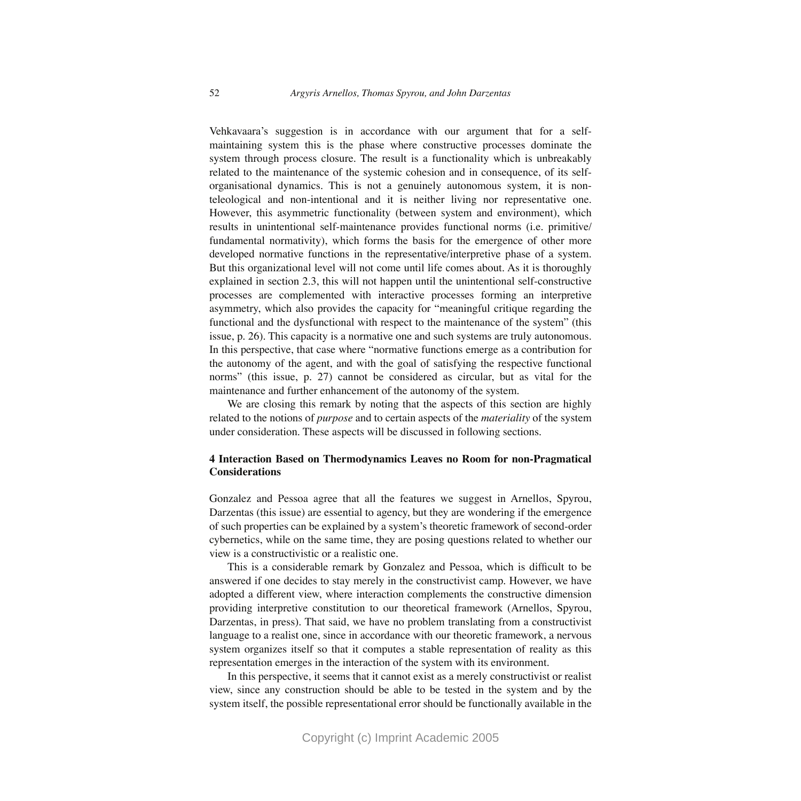Vehkavaara's suggestion is in accordance with our argument that for a selfmaintaining system this is the phase where constructive processes dominate the system through process closure. The result is a functionality which is unbreakably related to the maintenance of the systemic cohesion and in consequence, of its selforganisational dynamics. This is not a genuinely autonomous system, it is nonteleological and non-intentional and it is neither living nor representative one. However, this asymmetric functionality (between system and environment), which results in unintentional self-maintenance provides functional norms (i.e. primitive/ fundamental normativity), which forms the basis for the emergence of other more developed normative functions in the representative/interpretive phase of a system. But this organizational level will not come until life comes about. As it is thoroughly explained in section 2.3, this will not happen until the unintentional self-constructive processes are complemented with interactive processes forming an interpretive asymmetry, which also provides the capacity for "meaningful critique regarding the functional and the dysfunctional with respect to the maintenance of the system" (this issue, p. 26). This capacity is a normative one and such systems are truly autonomous. In this perspective, that case where "normative functions emerge as a contribution for the autonomy of the agent, and with the goal of satisfying the respective functional norms" (this issue, p. 27) cannot be considered as circular, but as vital for the maintenance and further enhancement of the autonomy of the system.

We are closing this remark by noting that the aspects of this section are highly related to the notions of *purpose* and to certain aspects of the *materiality* of the system under consideration. These aspects will be discussed in following sections.

# **4 Interaction Based on Thermodynamics Leaves no Room for non-Pragmatical Considerations**

Gonzalez and Pessoa agree that all the features we suggest in Arnellos, Spyrou, Darzentas (this issue) are essential to agency, but they are wondering if the emergence of such properties can be explained by a system's theoretic framework of second-order cybernetics, while on the same time, they are posing questions related to whether our view is a constructivistic or a realistic one.

This is a considerable remark by Gonzalez and Pessoa, which is difficult to be answered if one decides to stay merely in the constructivist camp. However, we have adopted a different view, where interaction complements the constructive dimension providing interpretive constitution to our theoretical framework (Arnellos, Spyrou, Darzentas, in press). That said, we have no problem translating from a constructivist language to a realist one, since in accordance with our theoretic framework, a nervous system organizes itself so that it computes a stable representation of reality as this representation emerges in the interaction of the system with its environment.

In this perspective, it seems that it cannot exist as a merely constructivist or realist view, since any construction should be able to be tested in the system and by the system itself, the possible representational error should be functionally available in the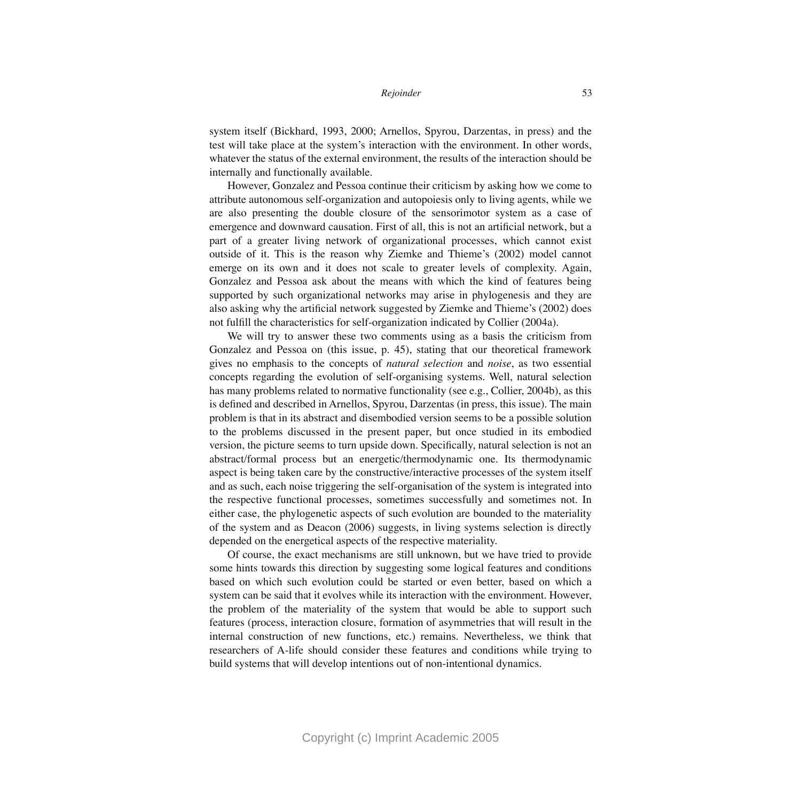system itself (Bickhard, 1993, 2000; Arnellos, Spyrou, Darzentas, in press) and the test will take place at the system's interaction with the environment. In other words, whatever the status of the external environment, the results of the interaction should be internally and functionally available.

However, Gonzalez and Pessoa continue their criticism by asking how we come to attribute autonomous self-organization and autopoiesis only to living agents, while we are also presenting the double closure of the sensorimotor system as a case of emergence and downward causation. First of all, this is not an artificial network, but a part of a greater living network of organizational processes, which cannot exist outside of it. This is the reason why Ziemke and Thieme's (2002) model cannot emerge on its own and it does not scale to greater levels of complexity. Again, Gonzalez and Pessoa ask about the means with which the kind of features being supported by such organizational networks may arise in phylogenesis and they are also asking why the artificial network suggested by Ziemke and Thieme's (2002) does not fulfill the characteristics for self-organization indicated by Collier (2004a).

We will try to answer these two comments using as a basis the criticism from Gonzalez and Pessoa on (this issue, p. 45), stating that our theoretical framework gives no emphasis to the concepts of *natural selection* and *noise*, as two essential concepts regarding the evolution of self-organising systems. Well, natural selection has many problems related to normative functionality (see e.g., Collier, 2004b), as this is defined and described in Arnellos, Spyrou, Darzentas (in press, this issue). The main problem is that in its abstract and disembodied version seems to be a possible solution to the problems discussed in the present paper, but once studied in its embodied version, the picture seems to turn upside down. Specifically, natural selection is not an abstract/formal process but an energetic/thermodynamic one. Its thermodynamic aspect is being taken care by the constructive/interactive processes of the system itself and as such, each noise triggering the self-organisation of the system is integrated into the respective functional processes, sometimes successfully and sometimes not. In either case, the phylogenetic aspects of such evolution are bounded to the materiality of the system and as Deacon (2006) suggests, in living systems selection is directly depended on the energetical aspects of the respective materiality.

Of course, the exact mechanisms are still unknown, but we have tried to provide some hints towards this direction by suggesting some logical features and conditions based on which such evolution could be started or even better, based on which a system can be said that it evolves while its interaction with the environment. However, the problem of the materiality of the system that would be able to support such features (process, interaction closure, formation of asymmetries that will result in the internal construction of new functions, etc.) remains. Nevertheless, we think that researchers of A-life should consider these features and conditions while trying to build systems that will develop intentions out of non-intentional dynamics.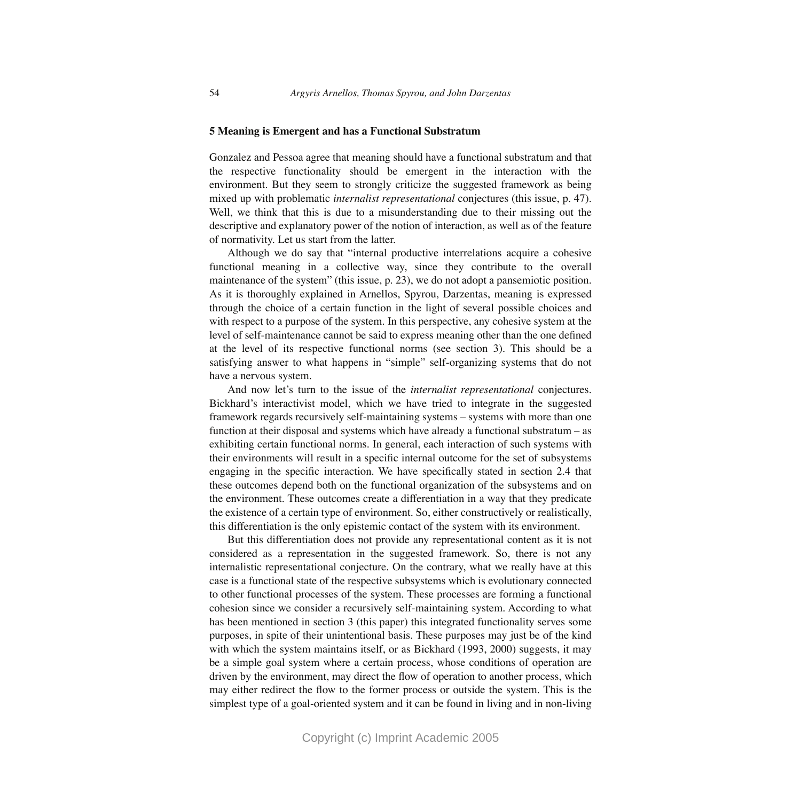## **5 Meaning is Emergent and has a Functional Substratum**

Gonzalez and Pessoa agree that meaning should have a functional substratum and that the respective functionality should be emergent in the interaction with the environment. But they seem to strongly criticize the suggested framework as being mixed up with problematic *internalist representational* conjectures (this issue, p. 47). Well, we think that this is due to a misunderstanding due to their missing out the descriptive and explanatory power of the notion of interaction, as well as of the feature of normativity. Let us start from the latter.

Although we do say that "internal productive interrelations acquire a cohesive functional meaning in a collective way, since they contribute to the overall maintenance of the system" (this issue, p. 23), we do not adopt a pansemiotic position. As it is thoroughly explained in Arnellos, Spyrou, Darzentas, meaning is expressed through the choice of a certain function in the light of several possible choices and with respect to a purpose of the system. In this perspective, any cohesive system at the level of self-maintenance cannot be said to express meaning other than the one defined at the level of its respective functional norms (see section 3). This should be a satisfying answer to what happens in "simple" self-organizing systems that do not have a nervous system.

And now let's turn to the issue of the *internalist representational* conjectures. Bickhard's interactivist model, which we have tried to integrate in the suggested framework regards recursively self-maintaining systems – systems with more than one function at their disposal and systems which have already a functional substratum – as exhibiting certain functional norms. In general, each interaction of such systems with their environments will result in a specific internal outcome for the set of subsystems engaging in the specific interaction. We have specifically stated in section 2.4 that these outcomes depend both on the functional organization of the subsystems and on the environment. These outcomes create a differentiation in a way that they predicate the existence of a certain type of environment. So, either constructively or realistically, this differentiation is the only epistemic contact of the system with its environment.

But this differentiation does not provide any representational content as it is not considered as a representation in the suggested framework. So, there is not any internalistic representational conjecture. On the contrary, what we really have at this case is a functional state of the respective subsystems which is evolutionary connected to other functional processes of the system. These processes are forming a functional cohesion since we consider a recursively self-maintaining system. According to what has been mentioned in section 3 (this paper) this integrated functionality serves some purposes, in spite of their unintentional basis. These purposes may just be of the kind with which the system maintains itself, or as Bickhard (1993, 2000) suggests, it may be a simple goal system where a certain process, whose conditions of operation are driven by the environment, may direct the flow of operation to another process, which may either redirect the flow to the former process or outside the system. This is the simplest type of a goal-oriented system and it can be found in living and in non-living

Copyright (c) Imprint Academic 2005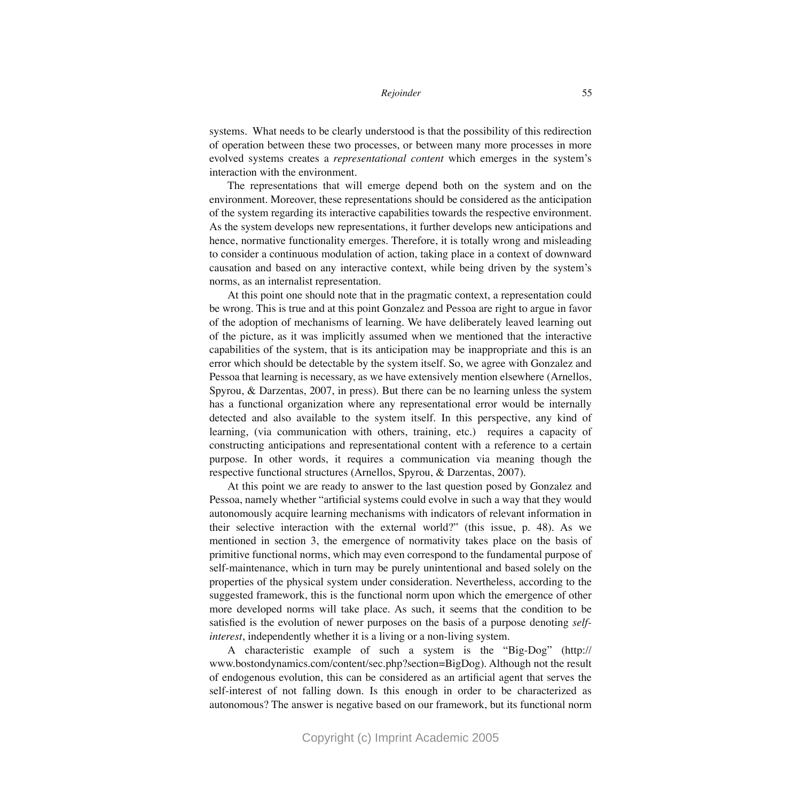### *Rejoinder* 55

systems. What needs to be clearly understood is that the possibility of this redirection of operation between these two processes, or between many more processes in more evolved systems creates a *representational content* which emerges in the system's interaction with the environment.

The representations that will emerge depend both on the system and on the environment. Moreover, these representations should be considered as the anticipation of the system regarding its interactive capabilities towards the respective environment. As the system develops new representations, it further develops new anticipations and hence, normative functionality emerges. Therefore, it is totally wrong and misleading to consider a continuous modulation of action, taking place in a context of downward causation and based on any interactive context, while being driven by the system's norms, as an internalist representation.

At this point one should note that in the pragmatic context, a representation could be wrong. This is true and at this point Gonzalez and Pessoa are right to argue in favor of the adoption of mechanisms of learning. We have deliberately leaved learning out of the picture, as it was implicitly assumed when we mentioned that the interactive capabilities of the system, that is its anticipation may be inappropriate and this is an error which should be detectable by the system itself. So, we agree with Gonzalez and Pessoa that learning is necessary, as we have extensively mention elsewhere (Arnellos, Spyrou, & Darzentas, 2007, in press). But there can be no learning unless the system has a functional organization where any representational error would be internally detected and also available to the system itself. In this perspective, any kind of learning, (via communication with others, training, etc.) requires a capacity of constructing anticipations and representational content with a reference to a certain purpose. In other words, it requires a communication via meaning though the respective functional structures (Arnellos, Spyrou, & Darzentas, 2007).

At this point we are ready to answer to the last question posed by Gonzalez and Pessoa, namely whether "artificial systems could evolve in such a way that they would autonomously acquire learning mechanisms with indicators of relevant information in their selective interaction with the external world?" (this issue, p. 48). As we mentioned in section 3, the emergence of normativity takes place on the basis of primitive functional norms, which may even correspond to the fundamental purpose of self-maintenance, which in turn may be purely unintentional and based solely on the properties of the physical system under consideration. Nevertheless, according to the suggested framework, this is the functional norm upon which the emergence of other more developed norms will take place. As such, it seems that the condition to be satisfied is the evolution of newer purposes on the basis of a purpose denoting *selfinterest*, independently whether it is a living or a non-living system.

A characteristic example of such a system is the "Big-Dog" (http:// www.bostondynamics.com/content/sec.php?section=BigDog). Although not the result of endogenous evolution, this can be considered as an artificial agent that serves the self-interest of not falling down. Is this enough in order to be characterized as autonomous? The answer is negative based on our framework, but its functional norm

Copyright (c) Imprint Academic 2005